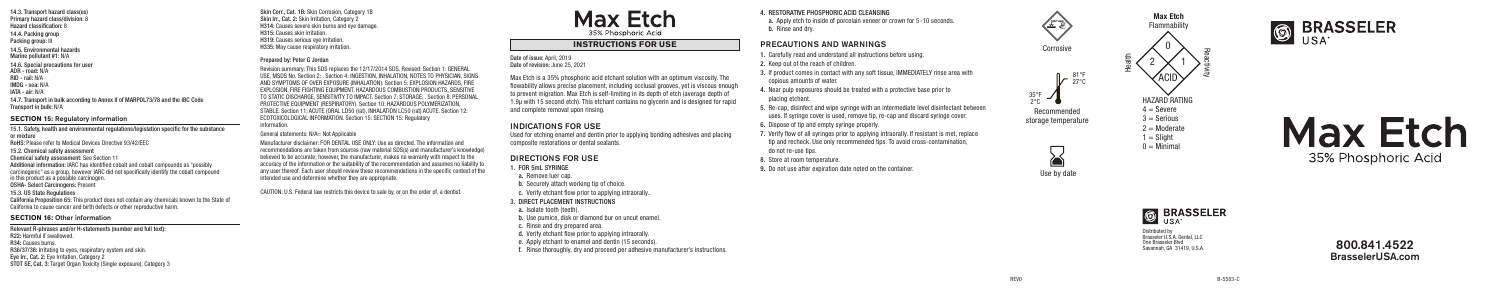Corrosive

## 4. RESTORATIVE PHOSPHORIC ACID CLEANSING

a. Apply etch to inside of porcelain veneer or crown for 5-10 seconds. b. Rinse and dry.

# PRECAUTIONS AND WARNINGS

- 1. Carefully read and understand all instructions before using.
- 2. Keep out of the reach of children.
- 3. If product comes in contact with any soft tissue, IMMEDIATELY rinse area with copious amounts of water.
- 4. Near pulp exposures should be treated with a protective base prior to placing etchant.
- 5. Re-cap, disinfect and wipe syringe with an intermediate level disinfectant between uses. If syringe cover is used, remove tip, re-cap and discard syringe cover.
- 6. Dispose of tip and empty syringe properly.
- 7. Verify flow of all syringes prior to applying intraorally. If resistant is met, replace tip and recheck. Use only recommended tips. To avoid cross-contamination, do not re-use tips.
- 8. Store at room temperature.
- 9. Do not use after expiration date noted on the container.

#### 2 1 Date of issue: April, 2019 Date of revision: June 25, 2021







Recommended storage temperature



Max Etch Flammability

- $1 =$  Slight
- $0 =$  Minimal









Max Etch is a 35% phosphoric acid etchant solution with an optimum viscosity. The flowability allows precise placement, including occlusal grooves, yet is viscous enough to prevent migration. Max Etch is self-limiting in its depth of etch (average depth of 1.9µ with 15 second etch). This etchant contains no glycerin and is designed for rapid and complete removal upon rinsing.

# INDICATIONS FOR USE

Used for etching enamel and dentin prior to applying bonding adhesives and placing composite restorations or dental sealants.

# DIRECTIONS FOR USE

- 1. FOR 5mL SYRINGE
- a. Remove luer cap.
- b. Securely attach working tip of choice.
- c. Verify etchant flow prior to applying intraorally..

# 3. DIRECT PLACEMENT INSTRUCTIONS

- a. Isolate tooth (teeth).
- b. Use pumice, disk or diamond bur on uncut enamel.
- c. Rinse and dry prepared area.
- d. Verify etchant flow prior to applying intraorally.
- e. Apply etchant to enamel and dentin (15 seconds).
- f. Rinse thoroughly, dry and proceed per adhesive manufacturer's instructions.

14.4. Packing group Packing group: III 14.5. Environmental hazards Marine pollutant #1: N/A 14.6. Special precautions for user ADR - road: N/A RID - rail: N/A IMDG - sea: N/A

IATA - air: N/A

14.7. Transport in bulk according to Annex II of MARPOL73/78 and the IBC Code Transport in bulk: N/A

# **SECTION 15: Regulatory information**

15.1. Safety, health and environmental regulations/legislation specific for the substance or mixture RoHS: Please refer to Medical Devices Directive 93/42/EEC

15.2. Chemical safety assessment

Chemical safety assessment: See Section 11

Additional information: IARC has identified cobalt and cobalt compounds as "possibly carcinogenic" as a group, however IARC did not specifically identify the cobalt compound

in this product as a possible carcinogen.

OSHA- Select Carcinogens: Present

15.3. US State Regulations

California Proposition 65: This product does not contain any chemicals known to the State of California to cause cancer and birth defects or other reproductive harm.

# **SECTION 16: Other information**

Relevant R-phrases and/or H-statements (number and full text): R22: Harmful if swallowed. R34: Causes burns. R36/37/38: Irritating to eyes, respiratory system and skin. Eye Irr., Cat. 2: Eye Irritation, Category 2 STOT SE, Cat. 3: Target Organ Toxicity (Single exposure), Category 3 Skin Corr., Cat. 1B: Skin Corrosion, Category 1B Skin Irr., Cat. 2: Skin Irritation, Category 2 H314: Causes severe skin burns and eye damage. H315: Causes skin irritation. H319: Causes serious eye irritation. H335: May cause respiratory irritation.

## Prepared by: Peter G Jordan

Revision summary: This SDS replaces the 12/17/2014 SDS. Revised: Section 1: GENERAL USE, MSDS No. Section 2: . Section 4: INGESTION, INHALATION, NOTES TO PHYSICIAN, SIGNS AND SYMPTOMS OF OVER EXPOSURE (INHALATION). Section 5: EXPLOSION HAZARDS, FIRE EXPLOSION, FIRE FIGHTING EQUIPMENT, HAZARDOUS COMBUSTION PRODUCTS, SENSITIVE TO STATIC DISCHARGE, SENSITIVITY TO IMPACT. Section 7: STORAGE, . Section 8: PERSONAL PROTECTIVE EQUIPMENT (RESPIRATORY). Section 10: HAZARDOUS POLYMERIZATION, STABLE. Section 11: ACUTE (ORAL LD50 (rat), INHALATION LC50 (rat) ACUTE. Section 12: ECOTOXICOLOGICAL INFORMATION. Section 15: SECTION 15: Regulatory information.

#### General statements: N/A= Not Applicable

Manufacturer disclaimer: FOR DENTAL USE ONLY: Use as directed. The information and recommendations are taken from sources (raw material SDS(s) and manufacturer's knowledge) believed to be accurate; however, the manufacturer, makes no warranty with respect to the accuracy of the information or the suitability of the recommendation and assumes no liability to any user thereof. Each user should review these recommendations in the specific context of the intended use and determine whether they are appropriate.

CAUTION: U.S. Federal law restricts this device to sale by, or on the order of, a dentist.

# Max Etch 35% Phosphoric Acid

# **INSTRUCTIONS FOR USE**

800.841.4522 BrasselerUSA.com

Distributed by Brasseler U.S.A. Dental, LLC One Brasseler Blvd Savannah, GA 31419, U.S.A.